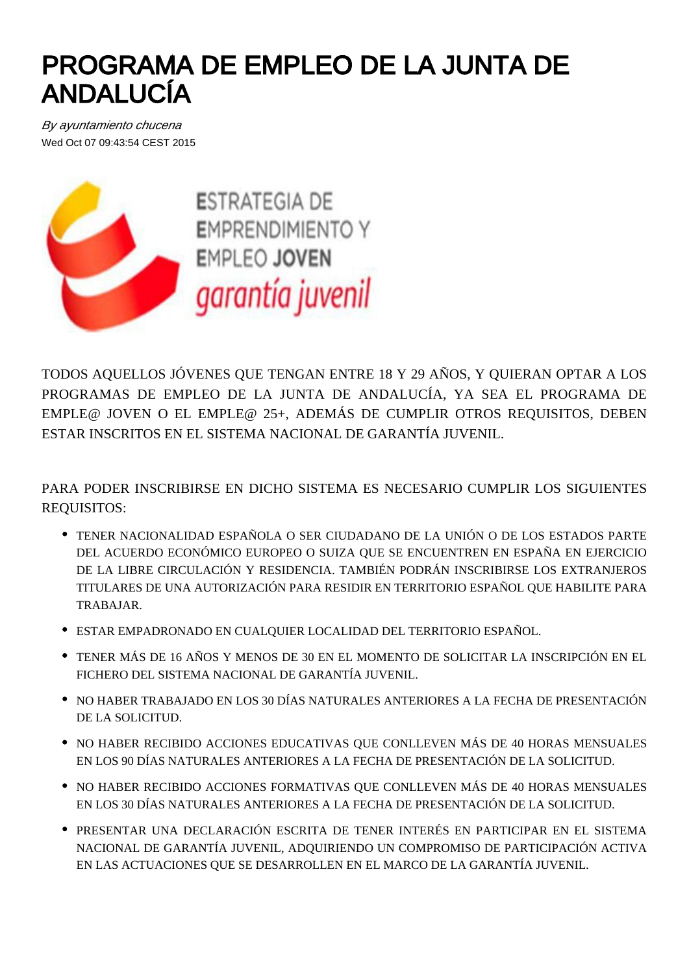## PROGRAMA DE EMPLEO DE LA JUNTA DE ANDALUCÍA

By ayuntamiento chucena Wed Oct 07 09:43:54 CEST 2015



**ESTRATEGIA DE EMPRENDIMIENTO Y EMPLEO JOVEN** garantía juvenil

TODOS AQUELLOS JÓVENES QUE TENGAN ENTRE 18 Y 29 AÑOS, Y QUIERAN OPTAR A LOS PROGRAMAS DE EMPLEO DE LA JUNTA DE ANDALUCÍA, YA SEA EL PROGRAMA DE EMPLE@ JOVEN O EL EMPLE@ 25+, ADEMÁS DE CUMPLIR OTROS REQUISITOS, DEBEN ESTAR INSCRITOS EN EL SISTEMA NACIONAL DE GARANTÍA JUVENIL.

PARA PODER INSCRIBIRSE EN DICHO SISTEMA ES NECESARIO CUMPLIR LOS SIGUIENTES REQUISITOS:

- TENER NACIONALIDAD ESPAÑOLA O SER CIUDADANO DE LA UNIÓN O DE LOS ESTADOS PARTE DEL ACUERDO ECONÓMICO EUROPEO O SUIZA QUE SE ENCUENTREN EN ESPAÑA EN EJERCICIO DE LA LIBRE CIRCULACIÓN Y RESIDENCIA. TAMBIÉN PODRÁN INSCRIBIRSE LOS EXTRANJEROS TITULARES DE UNA AUTORIZACIÓN PARA RESIDIR EN TERRITORIO ESPAÑOL QUE HABILITE PARA TRABAJAR.
- ESTAR EMPADRONADO EN CUALQUIER LOCALIDAD DEL TERRITORIO ESPAÑOL.
- TENER MÁS DE 16 AÑOS Y MENOS DE 30 EN EL MOMENTO DE SOLICITAR LA INSCRIPCIÓN EN EL FICHERO DEL SISTEMA NACIONAL DE GARANTÍA JUVENIL.
- NO HABER TRABAJADO EN LOS 30 DÍAS NATURALES ANTERIORES A LA FECHA DE PRESENTACIÓN DE LA SOLICITUD.
- $\bullet$  NO HABER RECIBIDO ACCIONES EDUCATIVAS OUE CONLLEVEN MÁS DE 40 HORAS MENSUALES EN LOS 90 DÍAS NATURALES ANTERIORES A LA FECHA DE PRESENTACIÓN DE LA SOLICITUD.
- $\bullet$  NO HABER RECIBIDO ACCIONES FORMATIVAS OUE CONLLEVEN MÁS DE 40 HORAS MENSUALES EN LOS 30 DÍAS NATURALES ANTERIORES A LA FECHA DE PRESENTACIÓN DE LA SOLICITUD.
- PRESENTAR UNA DECLARACIÓN ESCRITA DE TENER INTERÉS EN PARTICIPAR EN EL SISTEMA NACIONAL DE GARANTÍA JUVENIL, ADQUIRIENDO UN COMPROMISO DE PARTICIPACIÓN ACTIVA EN LAS ACTUACIONES QUE SE DESARROLLEN EN EL MARCO DE LA GARANTÍA JUVENIL.